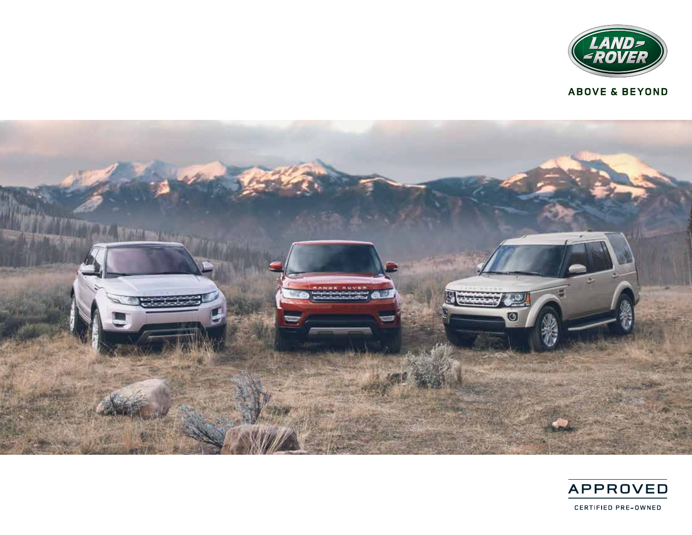

**ABOVE & BEYOND** 



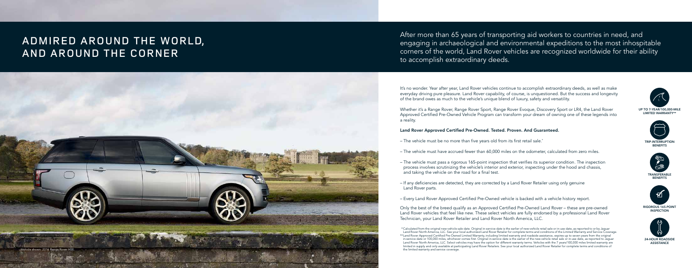



**BENEFITS** 







It's no wonder. Year after year, Land Rover vehicles continue to accomplish extraordinary deeds, as well as make everyday driving pure pleasure. Land Rover capability, of course, is unquestioned. But the success and longevity of the brand owes as much to the vehicle's unique blend of luxury, safety and versatility.

Whether it's a Range Rover, Range Rover Sport, Range Rover Evoque, Discovery Sport or LR4, the Land Rover Approved Certified Pre-Owned Vehicle Program can transform your dream of owning one of these legends into a reality.

#### Land Rover Approved Certified Pre-Owned. Tested. Proven. And Guaranteed.

- The vehicle must be no more than five years old from its first retail sale.\*
- The vehicle must have accrued fewer than 60,000 miles on the odometer, calculated from zero miles.
- The vehicle must pass a rigorous 165-point inspection that verifies its superior condition. The inspection process involves scrutinizing the vehicle's interior and exterior, inspecting under the hood and chassis, and taking the vehicle on the road for a final test.
- If any deficiencies are detected, they are corrected by a Land Rover Retailer using only genuine Land Rover parts.
- Every Land Rover Approved Certified Pre-Owned vehicle is backed with a vehicle history report.

\*\* Land Rover Approved Certified Pre-Owned Limited Warranty, including limited warranty and roadside assistance, expires up to seven years from the original in-service date or 100,000 miles, whichever comes first. Original in-service date is the earlier of the new-vehicle retail sale or in-use date, as reported to Jaguar Land Rover North America, LLC. Select vehicles may have the option for different warranty terms. Vehicles with the 7 years/100,000 miles limited warranty are limited in supply and only available at participating Land Rover Retailers. See your local authorized Land Rover Retailer for complete terms and conditions of the limited warranty and service coverage.

Only the best of the breed qualify as an Approved Certified Pre-Owned Land Rover – these are pre-owned Land Rover vehicles that feel like new. These select vehicles are fully endorsed by a professional Land Rover Technician, your Land Rover Retailer and Land Rover North America, LLC.

## ADMIRED AROUND THE WORLD, AND AROUND THE CORNER

After more than 65 years of transporting aid workers to countries in need, and engaging in archaeological and environmental expeditions to the most inhospitable corners of the world, Land Rover vehicles are recognized worldwide for their ability to accomplish extraordinary deeds.



<sup>\*</sup> Calculated from the original new-vehicle sale date. Original in-service date is the earlier of new-vehicle retail sale or in-use date, as reported to or by Jaguar Land Rover North America, LLC. See your local authorized Land Rover Retailer for complete terms and conditions of the Limited Warranty and Service Coverage.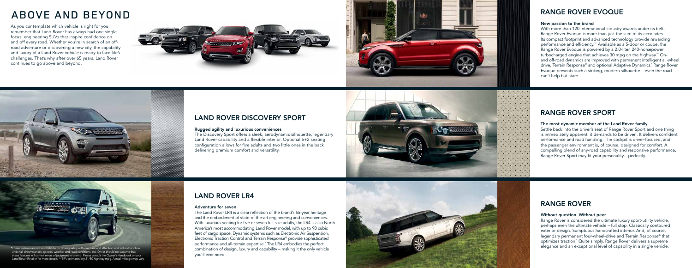### RANGE ROVER SPORT

#### The most dynamic member of the Land Rover family

Settle back into the driver's seat of Range Rover Sport and one thing is immediately apparent: it demands to be driven. It delivers confident performance and road handling. The cockpit is driver-focused, and the passenger environment is, of course, designed for comfort. A compelling blend of any-road capability and responsive performance, Range Rover Sport may fit your personality…perfectly.

## RANGE ROVER

#### Without question. Without peer

Range Rover is considered the ultimate luxury sport-utility vehicle, perhaps even the ultimate vehicle – full stop. Classically contoured exterior design. Sumptuous handcrafted interior. And, of course, legendary permanent four-wheel-drive and Terrain Response ® that optimizes traction.\* Quite simply, Range Rover delivers a supreme elegance and an exceptional level of capability in a single vehicle.



#### New passion to the brand

With more than 120 international industry awards under its belt, Range Rover Evoque is more than just the sum of its accolades. Its compact footprint and advanced technology provide rewarding performance and efficiency.\*\* Available as a 5-door or coupe, the Range Rover Evoque is powered by a 2.0-liter, 240-horsepower turbocharged engine that achieves 30 mpg on the highway.\*\* Onand off-road dynamics are improved with permanent intelligent all-wheel drive, Terrain Response ® and optional Adaptive Dynamics.\* Range Rover Evoque presents such a striking, modern silhouette – even the road can't help but stare.

### LAND ROVER DISCOVERY SPORT

#### Rugged agility and luxurious conveniences

The Discovery Sport offers a sleek, aerodynamic silhouette, legendary Land Rover capability and a flexible interior. Optional 5+2 seating configuration allows for five adults and two little ones in the back delivering premium comfort and versatility.



## LAND ROVER LR4

#### Adventure for seven

The Land Rover LR4 is a clear reflection of the brand's 65-year heritage and the embodiment of state-of-the-art engineering and conveniences. With luxurious seating for five or seven full-size adults, the LR4 is also North America's most accommodating Land Rover model, with up to 90 cubic feet of cargo space. Dynamic systems such as Electronic Air Suspension, Electronic Traction Control and Terrain Response ® provide sophisticated performance and all-terrain expertise. \* The LR4 embodies the perfect combination of design, luxury and capability – making it the only vehicle you'll ever need.



# ABOVE AND BEYOND

As you contemplate which vehicle is right for you, remember that Land Rover has always had one single focus: engineering SUVs that inspire confidence on and off every road. Whether you're in search of an offroad adventure or discovering a new city, the capability and luxury of a Land Rover vehicle is ready to face life's challenges. That's why after over 65 years, Land Rover continues to go above and beyond.









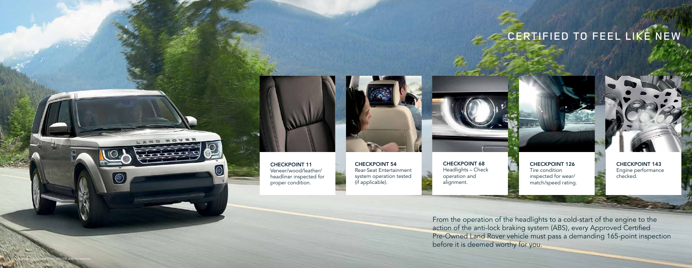CHECKPOINT 126 Tire condition inspected for wear/ match/speed rating.



From the operation of the headlights to a cold-start of the engine to the action of the anti-lock braking system (ABS), every Approved Certified Pre-Owned Land Rover vehicle must pass a demanding 165-point inspection before it is deemed worthy for you.

# CERTIFIED TO FEEL LIKE NEW





CHECKPOINT 143 Engine performance checked.

CHECKPOINT 68 Headlights – Check operation and alignment.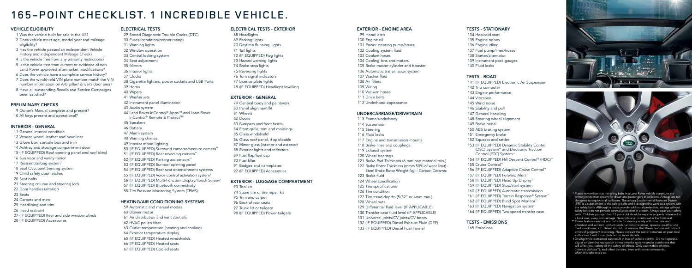#### EXTERIOR - ENGINE AREA

- 99 Hood latch 100 Engine oil 101 Power steering pump/hoses 102 Cooling system fluid 103 Coolant hoses 104 Cooling fans and motors 105 Brake master cylinder and booster 106 Automatic transmission system 107 Washer fluid 108 Air filters 109 Wiring 110 Vacuum hoses 111 Drive belts
- 

112 Underhood appearance

#### UNDERCARRIAGE/DRIVETRAIN

121 Brake Pad Thickness (6 mm pad material min.) 122 Brake Rotor Thickness (rotors 50% of wear limit) - Steel Brake Rotor Weight (kg) - Carbon Ceramic

- 113 Frame/underbody
- 114 Suspension 115 Steering
- 116 Fluid leaks
- 117 Engine and transmission mounts
- 118 Brake lines and couplings
- 119 Exhaust system
- 120 Wheel bearings
- 
- -
- 123 Brake fluid
- 124 Wheel specification
- 125 Tire specifications
- 126 Tire condition
- 
- 128 Wheel nuts
- 
- 
- 131 Universal joints/CV joints/CV boots
- 
- 133 (IF EQUIPPED) Diesel Fuel Funnel

127 Tire tread depths (5/32" or 4mm min.)

129 Differential fluid level (IF APPLICABLE) 130 Transfer case fluid level (IF APPLICABLE) 132 (IF EQUIPPED) Diesel Exhaust Fluid (DEF)

#### TESTS - STATIONARY

- 134 Hot/cold start 135 Engine noises 136 Engine idling 137 Fuel pump/lines/hoses
- 138 Starter/alternator
- 139 Instrument pack gauges
- 140 Fluid leaks

### TESTS - ROAD

141 (IF EQUIPPED) Electronic Air Suspension 142 Trip computer 143 Engine performance 144 Vibration 145 Wind noise 146 Stability and pull 147 General handling 148 Steering wheel alignment 149 Brake pedal 150 ABS braking system 151 Emergency brake 152 Squeaks and rattles 153 (IF EQUIPPED) Dynamic Stability Control (DSC) System\*\* and Electronic Traction Control (ETC) System\*\* 154 (IF EQUIPPED) Hill Descent Control® (HDC)\*\* 155 Cruise Control\*\* 156 (IF EQUIPPED) Adaptive Cruise Control\*\* 157 (IF EQUIPPED) Forward Alert\*\* 158 (IF EQUIPPED) Head Up Display† 159 (IF EQUIPPED) Stop/start system 160 (IF EQUIPPED) Automatic transmission 161 (IF EQUIPPED) Terrain Response® System\*\* 162 (IF EQUIPPED) Blind Spot Monitor\*\* 163 (IF EQUIPPED) Navigation system† 164 (IF EQUIPPED) Two speed transfer case

TESTS - EMISSIONS 165 Emissions





#### VEHICLE ELIGIBILITY

- 1 Was the vehicle built for sale in the US?
- 2 Does vehicle meet age, model year and mileage eligibility?
- 3 Has the vehicle passed an independent Vehicle History and independent Mileage Check?
- 4 Is the vehicle free from any warranty restrictions?
- 5 Is the vehicle free from current or evidence of non Land Rover approved aftermarket modifications?
- 6 Does the vehicle have a complete service history?
- 7 Does the windshield VIN plate number match the VIN number information on A/B pillar/ driver's door area?
- 8 Have all outstanding Recalls and Service Campaigns been satisfied?

### PRELIMINARY CHECKS

- 9 Owner's Manual complete and present?
- 10 All keys present and operational?

#### INTERIOR - GENERAL

- 11 General interior condition
- 12 Veneer, wood, leather and headliner
- 13 Glove box, console box and trim
- 14 Ashtray and stowage compartment door
- 15 (IF EQUIPPED) Roof opening panel and roof blind
- 16 Sun visor and vanity mirror
- 17 Restraint/airbag system<sup>\*</sup>
- 18 Seat Occupant Sensing system
- 19 Child safety door latches
- 20 Seat belts
- 21 Steering column and steering lock
- 22 Door handles (interior)
- 23 Seats
- 24 Carpets and mats
- 25 Headlining and trim
- 26 Head restraint
- 27 (IF EQUIPPED) Rear and side window blinds
- 28 (IF EQUIPPED) Accessories

#### ELECTRICAL TESTS

29 Stored Diagnostic Trouble Codes (DTC) 30 Fuses (condition/proper rating) 31 Warning lights 32 Window operation 33 Central locking system 34 Seat adjustment 35 Mirrors 36 Interior lights 37 Clocks 38 Cigarette lighters, power sockets and USB Ports 39 Horns 40 Wipers 41 Washer jets 42 Instrument panel illumination 43 Audio system 44 Land Rover InControl® Apps™ and Land Rover InControl® Remote & Protect™<sup>†</sup> 45 Speakers 46 Battery 47 Alarm system 48 Warning chimes 49 Interior mood lighting 50 (IF EQUIPPED) Surround cameras/venture camera\*\* 51 (IF EQUIPPED) Rear reversing camera\*\* 52 (IF EQUIPPED) Parking aid sensors\*\* 53 (IF EQUIPPED) Sunroof opening panel 54 (IF EQUIPPED) Rear seat entertainment systems 55 (IF EQUIPPED) Voice control activation system† 56 (IF EQUIPPED) Multi-Function Display/Touch Screen† 57 (IF EQUIPPED) Bluetooth connectivity† 58 Tire Pressure Monitoring System (TPMS)

#### HEATING/AIR CONDITIONING SYSTEMS

59 Automatic and manual modes 60 Blower motor 61 Air distribution and vent controls 62 HVAC pollen filter 63 Outlet temperature (heating and cooling) 64 Exterior temperature display 65 (IF EQUIPPED) Heated windshields 66 (IF EQUIPPED) Heated seats 67 (IF EQUIPPED) Cooled seats

#### ELECTRICAL TESTS - EXTERIOR

68 Headlights 69 Parking lights 70 Daytime Running Lights 71 Tail lights 72 (IF EQUIPPED) Fog lights 73 Hazard warning lights 74 Brake stop lights 75 Reversing lights 76 Turn signal indicators 77 License plate lights 78 (IF EQUIPPED) Headlight levelling

#### EXTERIOR - GENERAL

79 General body and paintwork 80 Panel alignment/fit 81 Wheels 82 Doors 83 Bumpers and front fascia 84 Front grille, trim and moldings 85 Glass windshield 86 Glass roof panel, if applicable 87 Mirror glass (interior and exterior) 88 Exterior lights and reflectors 89 Fuel flap/fuel cap 90 Fuel filler 91 Badges and nameplates 92 (IF EQUIPPED) Accessories

#### EXTERIOR - LUGGAGE COMPARTMENT

93 Tool kit 94 Spare tire or tire repair kit 95 Trim and carpet 96 Back of rear seats 97 Trunk lid or tailgate 98 (IF EQUIPPED) Power tailgate

# 165-POINT CHECKLIST. 1 INCREDIBLE VEHICLE.

\* Please remember that the safety belts in a Land Rover vehicle constitute the primary protection system for driver and passengers in collisions. Airbags are not designed to deploy in all collisions. The airbag Supplemental Restraint System (SRS) is a supplement to the safety belts and is designed to work as a system with the safety belts. Although airbags provide additional protection, airbags without safety belts do not provide optimal protection in a crash. Always wear your safety belts. Children younger than 13 years old should always be properly restrained in a back seat, away from airbags. Never place an infant seat in the front seat.

- \*\* These features are not a substitute for driving safely with due care and attention and will not function under all circumstances, speeds, weather and road conditions, etc. Driver should not assume that these features will correct errors of judgment in driving. Please consult the owner's manual or your local authorized Land Rover Retailer for more details.
- † Driving while distracted can result in loss of vehicle control. Do not operate, adjust or view the navigation or multimedia systems under conditions that will affect your safety or the safety of others. Only use mobile phones, (InteractiveVoice™), and other devices, even with voice commands, when it is safe to do so.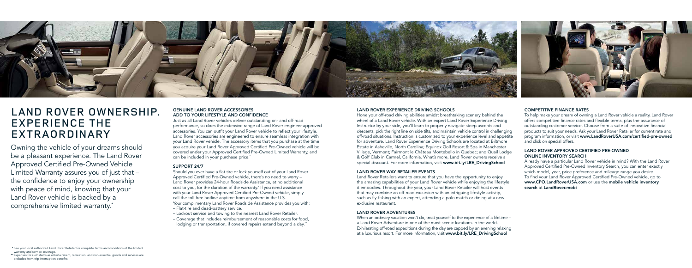#### GENUINE LAND ROVER ACCESSORIES ADD TO YOUR LIFESTYLE AND CONFIDENCE

Just as all Land Rover vehicles deliver outstanding on- and off-road performance, so does the extensive range of Land Rover engineer-approved accessories. You can outfit your Land Rover vehicle to reflect your lifestyle. Land Rover accessories are engineered to ensure seamless integration with your Land Rover vehicle. The accessory items that you purchase at the time you acquire your Land Rover Approved Certified Pre-Owned vehicle will be covered under your Approved Certified Pre-Owned Limited Warranty, and can be included in your purchase price.<sup>\*</sup>

- Lockout service and towing to the nearest Land Rover Retailer.
- Coverage that includes reimbursement of reasonable costs for food, lodging or transportation, if covered repairs extend beyond a day.<sup>\*\*</sup>

#### SUPPORT 24/7

Should you ever have a flat tire or lock yourself out of your Land Rover Approved Certified Pre-Owned vehicle, there's no need to worry – Land Rover provides 24-hour Roadside Assistance, at no additional cost to you, for the duration of the warranty.\* If you need assistance with your Land Rover Approved Certified Pre-Owned vehicle, simply call the toll-free hotline anytime from anywhere in the U.S.

Hone your off-road driving abilities amidst breathtaking scenery behind the wheel of a Land Rover vehicle. With an expert Land Rover Experience Driving Instructor by your side, you'll learn to properly navigate steep ascents and descents, pick the right line on side tilts, and maintain vehicle control in challenging off-road situations. Instruction is customized to your experience level and appetite for adventure. Land Rover Experience Driving Schools are located at Biltmore Estate in Asheville, North Carolina; Equinox Golf Resort & Spa in Manchester Village, Vermont; Fairmont le Château Montebello in Quebec; and Quail Lodge & Golf Club in Carmel, California. What's more, Land Rover owners receive a special discount. For more information, visit www.bit.ly/LRE\_DrivingSchool

Your complimentary Land Rover Roadside Assistance provides you with: – Flat-tire and dead-battery service.

\* See your local authorized Land Rover Retailer for complete terms and conditions of the limited warranty and service coverage.

\*\* Expenses for such items as entertainment, recreation, and non-essential goods and services are excluded from trip interruption benefits.



# LAND ROVER OWNERSHIP. EXPERIENCE THE EXTRAORDINARY

Owning the vehicle of your dreams should be a pleasant experience. The Land Rover Approved Certified Pre-Owned Vehicle Limited Warranty assures you of just that – the confidence to enjoy your ownership with peace of mind, knowing that your Land Rover vehicle is backed by a comprehensive limited warranty.\*

#### LAND ROVER EXPERIENCE DRIVING SCHOOLS

#### LAND ROVER WAY RETAILER EVENTS

Land Rover Retailers want to ensure that you have the opportunity to enjoy the amazing capabilities of your Land Rover vehicle while enjoying the lifestyle it embodies. Throughout the year, your Land Rover Retailer will host events that may combine an off-road excursion with an intriguing lifestyle activity, such as fly-fishing with an expert, attending a polo match or dining at a new exclusive restaurant.

### LAND ROVER ADVENTURES

When an ordinary vacation won't do, treat yourself to the experience of a lifetime – a Land Rover Adventure in one of the most scenic locations in the world. Exhilarating off-road expeditions during the day are capped by an evening relaxing at a luxurious resort. For more information, visit www.bit.ly/LRE\_DrivingSchool

#### COMPETITIVE FINANCE RATES

To help make your dream of owning a Land Rover vehicle a reality, Land Rover offers competitive finance rates and flexible terms, plus the assurance of outstanding customer service. Choose from a suite of innovative financial products to suit your needs. Ask your Land Rover Retailer for current rate and program information, or visit www.LandRoverUSA.com/certified-pre-owned and click on special offers.

#### LAND ROVER APPROVED CERTIFIED PRE-OWNED ONLINE INVENTORY SEARCH

Already have a particular Land Rover vehicle in mind? With the Land Rover Approved Certified Pre-Owned Inventory Search, you can enter exactly which model, year, price preference and mileage range you desire. To find your Land Rover Approved Certified Pre-Owned vehicle, go to www.CPO.LandRoverUSA.com or use the mobile vehicle inventory search at LandRover.mobi